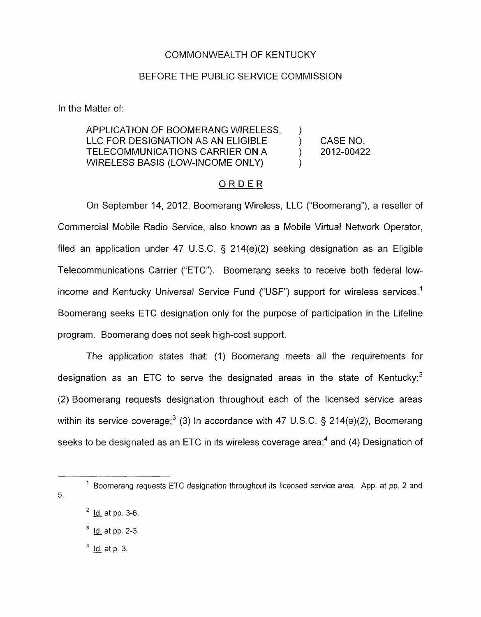## COMMONWEALTH OF KENTUCKY

## BEFORE THE PUBLIC SERVICE COMMISSION

In the Matter of:

# APPLICATION OF BOOMERANG WIRELESS. LLC FOR DESIGNATION AS AN ELIGIBLE ) CASENO. TELECOMMUNICATIONS CARRIER ON A ) 2012-00422 WIRELESS BASIS (LOW-INCOME ONLY)

## ORDER

On September 14, 2012, Boomerang Wireless, LLC ("Boomerang"), a reseller of Commercial Mobile Radio Service, also known as a Mobile Virtual Network Operator, filed an application under 47 U.S.C. § 214(e)(2) seeking designation as an Eligible Telecommunications Carrier ("ETC"). Boomerang seeks to receive both federal lowincome and Kentucky Universal Service Fund ("USF") support for wireless services.<sup>1</sup> Boomerang seeks ETC designation only for the purpose of participation in the Lifeline program. Boomerang does not seek high-cost support.

The application states that: (1) Boomerang meets all the requirements for designation as an ETC to serve the designated areas in the state of Kentucky;<sup>2</sup> (2) Boomerang requests designation throughout each of the licensed service areas within its service coverage;<sup>3</sup> (3) In accordance with 47 U.S.C. § 214(e)(2), Boomerang seeks to be designated as an ETC in its wireless coverage area; $4$  and (4) Designation of

 $1$  Boomerang requests ETC designation throughout its licensed service area. App. at pp. 2 and  $5<sub>1</sub>$ 

- $2^2$  Id. at pp. 3-6.
- <sup>2</sup> <u>Id.</u> at pp. 3-6.<br><sup>3</sup> I<u>d.</u> at pp. 2-3.
- <sup>3</sup> <u>Id.</u> at pp. 2<br><sup>4</sup> <u>Id.</u> at p. 3.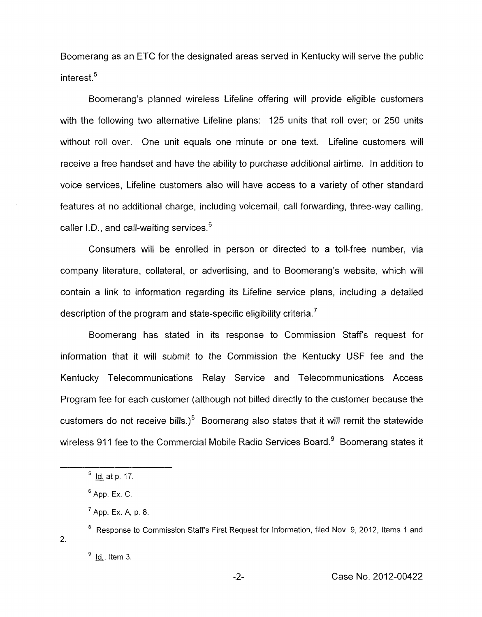Boomerang as an ETC for the designated areas served in Kentucky will serve the public  $interest.<sup>5</sup>$ 

Boomerang's planned wireless Lifeline offering will provide eligible customers with the following two alternative Lifeline plans: 125 units that roll over; or 250 units without roll over. One unit equals one minute or one text. Lifeline customers will receive a free handset and have the ability to purchase additional airtime. In addition to voice services, Lifeline customers also will have access to a variety of other standard features at no additional charge, including voicemail, call forwarding, three-way calling, caller I.D., and call-waiting services.<sup>6</sup>

Consumers will be enrolled in person or directed to a toll-free number, via company literature, collateral, or advertising, and to Boomerang's website, which will contain a link to information regarding its Lifeline service plans, including a detailed description of the program and state-specific eligibility criteria.<sup> $7$ </sup>

Boomerang has stated in its response to Commission Staffs request for information that it will submit to the Commission the Kentucky USF fee and the Kentucky Telecommunications Relay Service and Telecommunications Access Program fee for each customer (although not billed directly to the customer because the customers do not receive bills.)<sup>8</sup> Boomerang also states that it will remit the statewide wireless 911 fee to the Commercial Mobile Radio Services Board.<sup>9</sup> Boomerang states it

Id. at **p.** 17. *5*  -

App. Ex. *C.*  **6** 

<sup>&</sup>lt;sup>7</sup> App. Ex. A, p. 8.

<sup>&</sup>lt;sup>8</sup> Response to Commission Staff's First Request for Information, filed Nov. 9, 2012, Items 1 and 2.

<sup>&</sup>lt;sup>9</sup> Id., Item 3.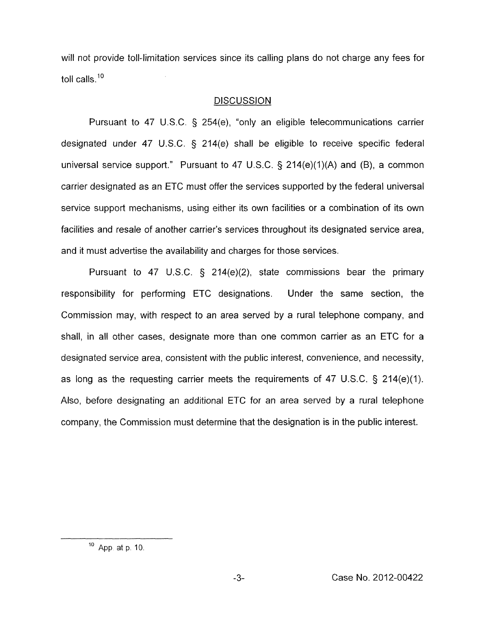will not provide toll-limitation services since its calling plans do not charge any fees for toll calls.<sup>10</sup>

# **DISCUSSION**

Pursuant to 47 U.S.C. § 254(e), "only an eligible telecommunications carrier designated under 47 U.S.C. § 214(e) shall be eligible to receive specific federal universal service support." Pursuant to 47 U.S.C.  $\S$  214(e)(1)(A) and (B), a common carrier designated as an ETC must offer the services supported by the federal universal service support mechanisms, using either its own facilities or a combination of its own facilities and resale of another carrier's services throughout its designated service area, and it must advertise the availability and charges for those services.

Pursuant to 47 U.S.C. *5* 214(e)(2), state commissions bear the primary responsibility for performing ETC designations. Under the same section, the Commission may, with respect to an area served by a rural telephone company, and shall, in all other cases, designate more than one common carrier as an ETC for a designated service area, consistent with the public interest, convenience, and necessity, as long as the requesting carrier meets the requirements of 47 U.S.C.  $\S$  214(e)(1). Also, before designating an additional ETC for an area served by a rural telephone company, the Commission must determine that the designation *is* in the public interest.

 $10$  App. at p. 10.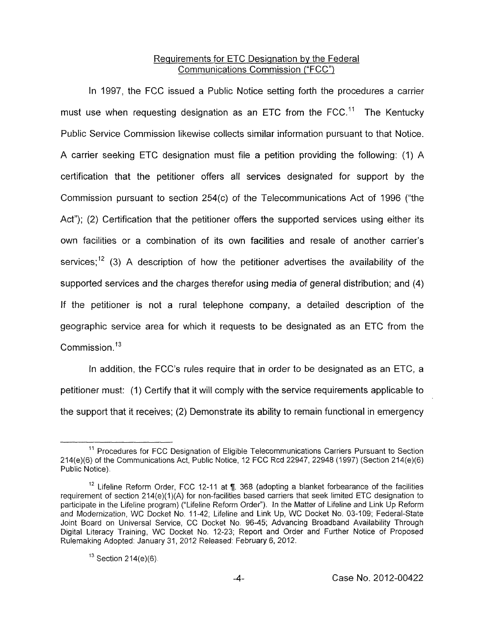# Requirements for ETC Designation by the Federal Communications Commission ("FCC")

In 1997, the FCC issued a Public Notice setting forth the procedures a carrier must use when requesting designation as an ETC from the  $FCC<sup>11</sup>$  The Kentucky Public Service Commission likewise collects similar information pursuant to that Notice. A carrier seeking ETC designation must file a petition providing the following: (1) A certification that the petitioner offers all services designated for support by the Commission pursuant to section 254(c) of the Telecommunications Act of 1996 ("the Act"); (2) Certification that the petitioner offers the supported services using either its own facilities or a combination of its own facilities and resale of another carrier's services;<sup>12</sup> (3) A description of how the petitioner advertises the availability of the supported services and the charges therefor using media of general distribution; and (4) If the petitioner is not a rural telephone company, a detailed description of the geographic service area for which it requests to be designated as an ETC from the Commission. $13$ 

In addition, the FCC's rules require that in order to be designated as an ETC, a petitioner must: (1) Certify that it will comply with the service requirements applicable to the support that it receives; (2) Demonstrate its ability to remain functional in emergency

<sup>&</sup>lt;sup>11</sup> Procedures for FCC Designation of Eligible Telecommunications Carriers Pursuant to Section 214(e)(6) of the Communications Act, Public Notice, 12 FCC Rcd 22947, 22948 (1997) (Section 214(e)(6) Public Notice)

<sup>&</sup>lt;sup>12</sup> Lifeline Reform Order, FCC 12-11 at ¶. 368 (adopting a blanket forbearance of the facilities requirement of section 214(e)(1)(A) for non-facilities based carriers that seek limited ETC designation to participate in the Lifeline program) ("Lifeline Reform Order"). In the Matter of Lifeline and Link Up Reform and Modernization, WC Docket No. 11-42; Lifeline and Link Up, WC Docket No. 03-109; Federal-State Joint Board on Universal Service, CC Docket No. 96-45; Advancing Broadband Availability Through Digital Literacy Training, WC Docket No. 12-23; Report and Order and Further Notice of Proposed Rulemaking Adopted: January 31, 2012 Released: February 6, 2012.

<sup>&</sup>lt;sup>13</sup> Section 214(e)(6).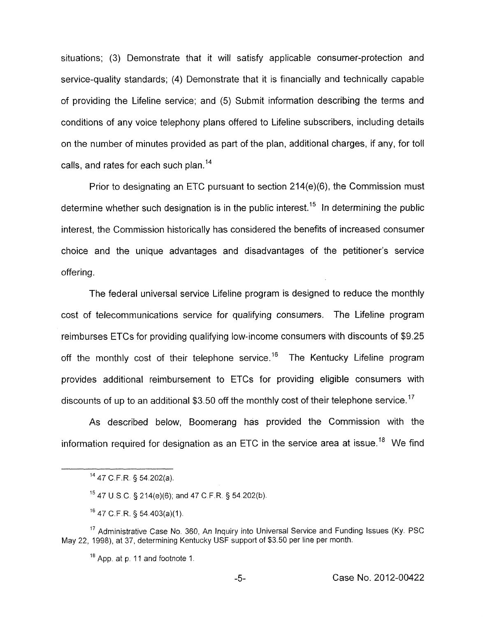situations; (3) Demonstrate that it will satisfy applicable consumer-protection and service-quality standards; **(4)** Demonstrate that it is financially and technically capable of providing the Lifeline service; and (5) Submit information describing the terms and conditions of any voice telephony plans offered to Lifeline subscribers, including details on the number of minutes provided as part of the plan, additional charges, if any, for toll calls, and rates for each such plan. $14$ 

Prior to designating an ETC pursuant to section 214(e)(6), the Commission must determine whether such designation is in the public interest.<sup>15</sup> In determining the public interest, the Commission historically has considered the benefits of increased consumer choice and the unique advantages and disadvantages of the petitioner's service offering.

The federal universal service Lifeline program is designed to reduce the monthly cost of telecommunications service for qualifying consumers. The Lifeline program reimburses ETCs for providing qualifying low-income consumers with discounts of \$9.25 off the monthly cost of their telephone service.<sup>16</sup> The Kentucky Lifeline program provides additional reimbursement to ETCs for providing eligible consumers with discounts of up to an additional \$3.50 off the monthly cost of their telephone service.<sup>17</sup>

As described below, Boomerang has provided the Commission with the information required for designation as an ETC in the service area at issue.<sup>18</sup> We find

**'4** 47 C.F.R. 5 54.202(a).

<sup>15</sup> 47 U.S.C. § 214(e)(6); and 47 C.F.R. § 54.202(b).

"47 C.F.R. **9** 54.403(a)(I)

 $17$  Administrative Case No. 360, An Inquiry into Universal Service and Funding Issues (Ky. PSC May 22, 1998), at 37, determining Kentucky USF support of \$3.50 per line per month.

 $18$  App. at  $p. 11$  and footnote 1.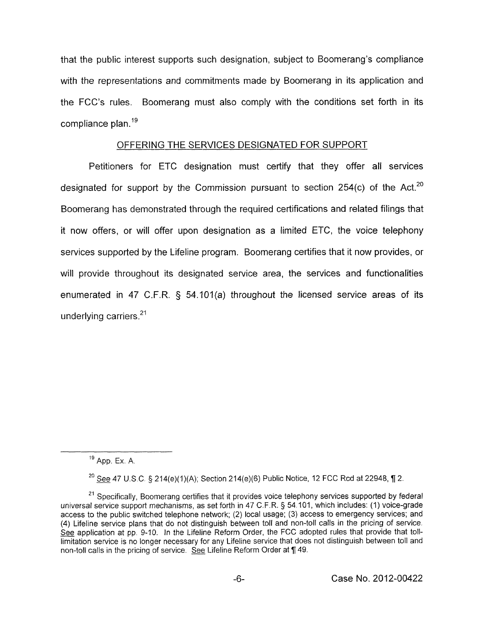that the public interest supports such designation, subject to Boomerang's compliance with the representations and commitments made by Boomerang in its application and the FCC's rules. Boomerang must also comply with the conditions set forth in its compliance plan.  $19$ 

# OFFERING THE SERVICES DESIGNATED FOR SUPPORT

Petitioners for ETC designation must certify that they offer all services designated for support by the Commission pursuant to section 254(c) of the Act.<sup>20</sup> Boomerang has demonstrated through the required certifications and related filings that it now offers, or will offer upon designation as a limited ETC, the voice telephony services supported by the Lifeline program. Boomerang certifies that it now provides, or will provide throughout its designated service area, the services and functionalities enumerated in 47 C.F.R.  $\S$  54.101(a) throughout the licensed service areas of its underlying carriers. $21$ 

App. Ex. A. **<sup>19</sup>**

<sup>20</sup> See 47 U.S.C. § 214(e)(1)(A); Section 214(e)(6) Public Notice, 12 FCC Rcd at 22948, ¶ 2.

<sup>&</sup>lt;sup>21</sup> Specifically, Boomerang certifies that it provides voice telephony services supported by federal universal service support mechanisms, as set forth in 47 C.F R. *5* 54 101, which includes: (1) voice-grade access to the public switched telephone network; (2) local usage; (3) access to emergency services; and (4) Lifeline service plans that do not distinguish between toll and non-toll calls in the pricing of service. See application at pp. 9-10. In the Lifeline Reform Order, the FCC adopted rules that provide that tolllimitation service is no longer necessary for any Lifeline service that does not distinguish between toll and non-toll calls in the pricing of service. See Lifeline Reform Order at ¶ 49.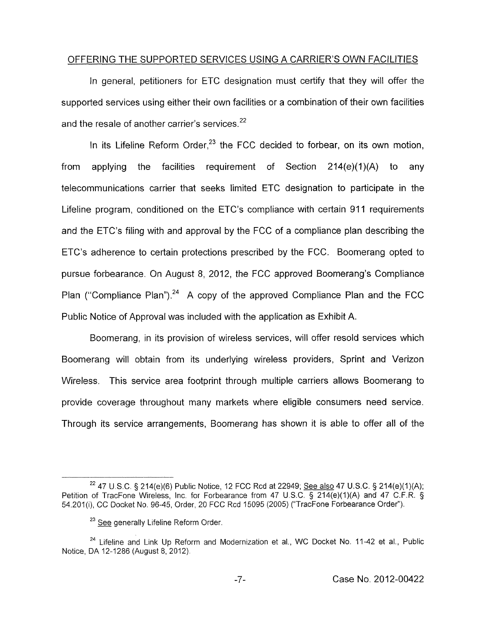## OFFERING THE SUPPORTED SERVICES USING A CARRIER'S OWN FACILITIES

In general, petitioners for ETC designation must certify that they will offer the supported services using either their own facilities or a combination of their own facilities and the resale of another carrier's services. $22$ 

In its Lifeline Reform Order, $23$  the FCC decided to forbear, on its own motion. from applying the facilities requirement of Section  $214(e)(1)(A)$  to any telecommunications carrier that seeks limited ETC designation to participate in the Lifeline program, conditioned on the ETC's compliance with certain 911 requirements and the ETC's filing with and approval by the FCC of a compliance plan describing the ETC's adherence to certain protections prescribed by the FCC. Boomerang opted to pursue forbearance. On August 8, 2012, the FCC approved Boomerang's Compliance Plan ("Compliance Plan").<sup>24</sup> A copy of the approved Compliance Plan and the FCC Public Notice of Approval was included with the application as Exhibit A.

Boomerang, in its provision of wireless services, will offer resold services which Boomerang will obtain from its underlying wireless providers, Sprint and Verizon Wireless. This service area footprint through multiple carriers allows Boomerang to provide coverage throughout many markets where eligible consumers need service. Through its service arrangements, Boomerang has shown it is able to offer all of the

<sup>22 47</sup> U.S.C. § 214(e)(6) Public Notice, 12 FCC Rcd at 22949; See also 47 U.S.C. § 214(e)(1)(A); Petition of TracFone Wireless, Inc. for Forbearance from 47 U.S.C. § 214(e)(1)(A) and 47 C.F.R. § 54.201(i), CC Docket No. 96-45, Order, 20 FCC Rcd 15095 (2005) ("TracFone Forbearance Order").

*See* generally Lifeline Reform Order. **<sup>23</sup>**

<sup>&</sup>lt;sup>24</sup> Lifeline and Link Up Reform and Modernization et al., WC Docket No. 11-42 et al., Public Notice, DA 12-1286 (August 8, 2012)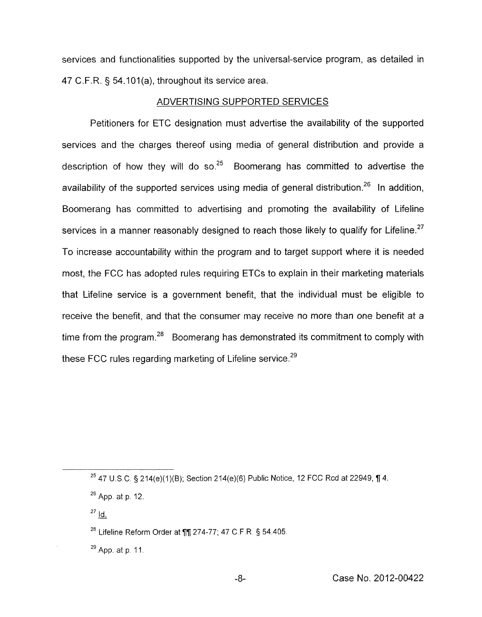services and functionalities supported by the universal-service program, as detailed in 47 C.F.R. § 54.101(a), throughout its service area.

#### ADVERTISING SUPPORTED SERVICES

Petitioners for ETC designation must advertise the availability of the supported services and the charges thereof using media of general distribution and provide a description of how they will do so. $25$  Boomerang has committed to advertise the availability of the supported services using media of general distribution.<sup>26</sup> In addition. Boomerang has committed to advertising and promoting the availability of Lifeline services in a manner reasonably designed to reach those likely to qualify for Lifeline.<sup>27</sup> To increase accountability within the program and to target support where it is needed most, the FCC has adopted rules requiring ETCs to explain in their marketing materials that Lifeline service is a government benefit, that the individual must be eligible to receive the benefit, and that the consumer may receive no more than one benefit at a time from the program.<sup>28</sup> Boomerang has demonstrated its commitment to comply with these FCC rules regarding marketing of Lifeline service.<sup>29</sup>

<sup>25</sup> 47 U.S.C. § 214(e)(1)(B); Section 214(e)(6) Public Notice, 12 FCC Rcd at 22949, ¶ 4.

 $^{27}$  <u>Id.</u>

<sup>&</sup>lt;sup>26</sup> App. at p. 12.<br><sup>27</sup> <u>Id.</u>

<sup>&</sup>lt;sup>28</sup> Lifeline Reform Order at *¶1 274-77; 47 C.F.R. § 54.405.* 

<sup>&</sup>lt;sup>29</sup> App, at p. 11.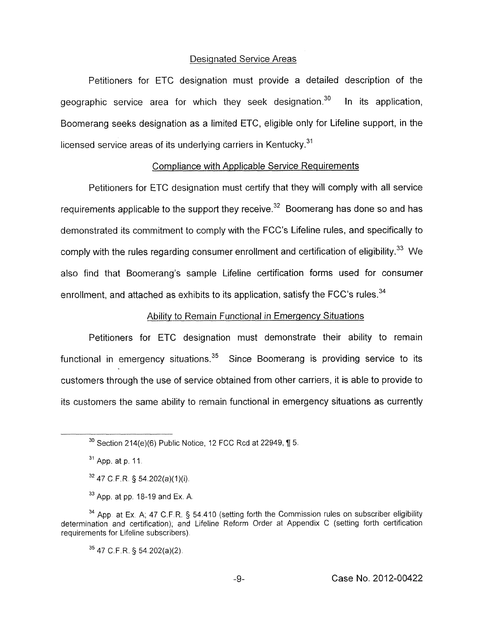#### Designated Service Areas

Petitioners for ETC designation must provide a detailed description of the geographic service area for which they seek designation.<sup>30</sup> In its application, Boomerang seeks designation as a limited ETC, eligible only for Lifeline support, in the licensed service areas of its underlying carriers in Kentucky. $^{31}$ 

## Compliance with Applicable Service Requirements

Petitioners for ETC designation must certify that they will comply with all service requirements applicable to the support they receive. $^{32}$  Boomerang has done so and has demonstrated its commitment to comply with the FCC's Lifeline rules, and specifically to comply with the rules regarding consumer enrollment and certification of eligibility.<sup>33</sup> We also find that Boomerang's sample Lifeline certification forms used for consumer enrollment, and attached as exhibits to its application, satisfy the FCC's rules.<sup>34</sup>

# Ability to Remain Functional in Emergency Situations

Petitioners for ETC designation must demonstrate their ability to remain functional in emergency situations.<sup>35</sup> Since Boomerang is providing service to its customers through the use of service obtained from other carriers, it is able to provide to its customers the same ability to remain functional in emergency situations as currently

 $35$  47 C.F.R. § 54.202(a)(2).

 $30$  Section 214(e)(6) Public Notice, 12 FCC Rcd at 22949,  $\P$  5.

<sup>&</sup>lt;sup>31</sup> App. at p. 11.

<sup>&</sup>lt;sup>32</sup> 47 C.F.R. § 54.202(a)(1)(i).

 $33$  App. at pp. 18-19 and Ex. A.

<sup>&</sup>lt;sup>34</sup> App. at Ex. A; 47 C.F.R. § 54.410 (setting forth the Commission rules on subscriber eligibility determination and certification), and Lifeline Reform Order at Appendix C (setting forth certification requirements for Lifeline subscribers).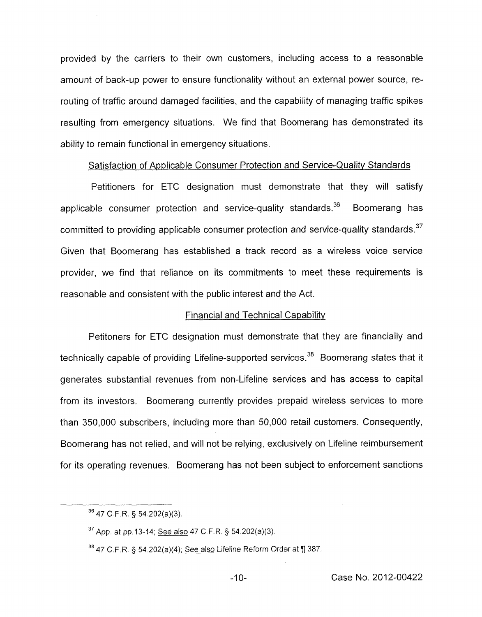provided by the carriers to their own customers, including access to a reasonable amount of back-up power to ensure functionality without an external power source, rerouting of traffic around damaged facilities, and the capability of managing traffic spikes resulting from emergency situations. We find that Boomerang has demonstrated its ability to remain functional in emergency situations.

# Satisfaction of Applicable Consumer Protection and Service-Qualitv Standards

Petitioners for ETC designation must demonstrate that they will satisfy applicable consumer protection and service-quality standards.<sup>36</sup> Boomerang has committed to providing applicable consumer protection and service-quality standards. $37$ Given that Boomerang has established a track record as a wireless voice service provider, we find that reliance on its commitments to meet these requirements is reasonable and consistent with the public interest and the Act.

## Financial and Technical Capability

Petitoners for ETC designation must demonstrate that they are financially and technically capable of providing Lifeline-supported services.<sup>38</sup> Boomerang states that it generates substantial revenues from non-Lifeline services and has access to capital from its investors. Boomerang currently provides prepaid wireless services to more than 350,000 subscribers, including more than 50,000 retail customers. Consequently, Boomerang has not relied, and will not be relying, exclusively on Lifeline reimbursement for its operating revenues. Boomerang has not been subject to enforcement sanctions

**<sup>36</sup>**47 C F R § 54 202(a)(3)

App at **pp** 13-14, See also 47 C F R § 54 202(a)(3) **37** 

<sup>47</sup> C F R § **54** 202(a)(4), See also Lifeline Reform Order at ¶ 387 **38**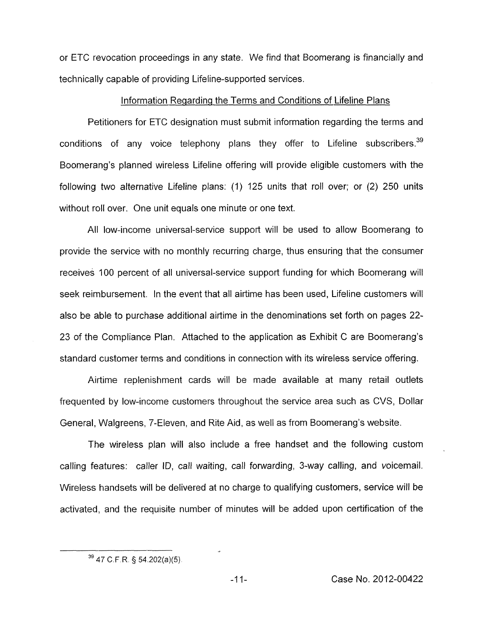or ETC revocation proceedings in any state. We find that Boomerang is financially and technically capable of providing Lifeline-supported services.

## Information Regarding the Terms and Conditions of Lifeline Plans

Petitioners for ETC designation must submit information regarding the terms and conditions of any voice telephony plans they offer to Lifeline subscribers.<sup>39</sup> Boomerang's planned wireless Lifeline offering will provide eligible customers with the following two alternative Lifeline plans: (1) 125 units that roll over; or (2) 250 units without roll over. One unit equals one minute or one text.

All low-income universal-service support will be used to allow Boomerang to provide the service with no monthly recurring charge, thus ensuring that the consumer receives 100 percent of all universal-service support funding for which Boomerang will seek reimbursement. In the event that all airtime has been used, Lifeline customers will also be able to purchase additional airtime in the denominations set forth on pages 22- 23 of the Compliance Plan. Attached to the application as Exhibit C are Boomerang's standard customer terms and conditions in connection with its wireless service offering.

Airtime replenishment cards will be made available at many retail outlets frequented by low-income customers throughout the service area such as CVS, Dollar General, Walgreens, 7-Eleven, and Rite Aid, as well as from Boomerang's website.

The wireless plan will also include a free handset and the following custom calling features: caller ID, call waiting, call forwarding, 3-way calling, and voicemail. Wireless handsets will be delivered at no charge to qualifying customers, service will be activated, and the requisite number of minutes will be added upon certification of the

..

**<sup>39</sup>**47 C.F.R. **9** 54.202(a)(5)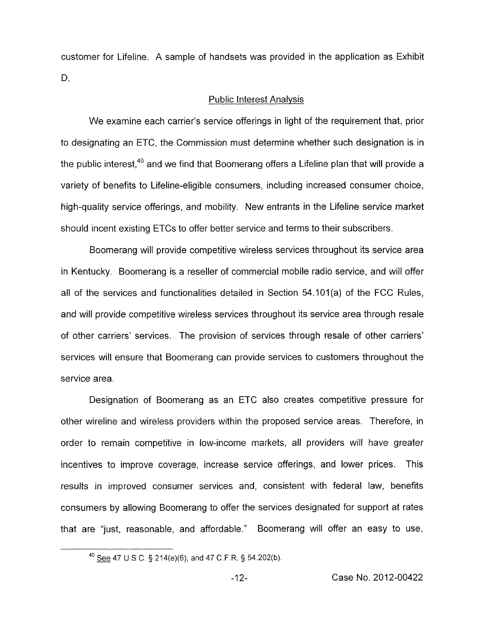customer for Lifeline. A sample of handsets was provided in the application as Exhibit D.

# Public Interest Analvsis

We examine each carrier's service offerings in light of the requirement that, prior to designating an ETC, the Commission must determine whether such designation is in the public interest,  $40$  and we find that Boomerang offers a Lifeline plan that will provide a variety of benefits to Lifeline-eligible consumers, including increased consumer choice, high-quality service offerings, and mobility. New entrants in the Lifeline service market should incent existing ETCs to offer better service and terms to their subscribers.

Boomerang will provide competitive wireless services throughout its service area in Kentucky. Boomerang is a reseller of commercial mobile radio service, and will offer all of the services and functionalities detailed in Section 54.101(a) of the FCC Rules, and will provide competitive wireless services throughout its service area through resale of other carriers' services. The provision of services through resale of other carriers' services will ensure that Boomerang can provide services to customers throughout the service area.

Designation of Boomerang as an ETC also creates competitive pressure for other wireline and wireless providers within the proposed service areas. Therefore, in order to remain competitive in low-income markets, all providers will have greater incentives to improve coverage, increase service offerings, and lower prices. This results in improved consumer services and, consistent with federal law, benefits consumers by allowing Boomerang to offer the services designated for support at rates that are "just, reasonable, and affordable." Boomerang will offer an easy to use,

<sup>-47</sup> U S C *5* 214(e)(6); and 47 C F R. *5* 54 202(b). **<sup>40</sup>**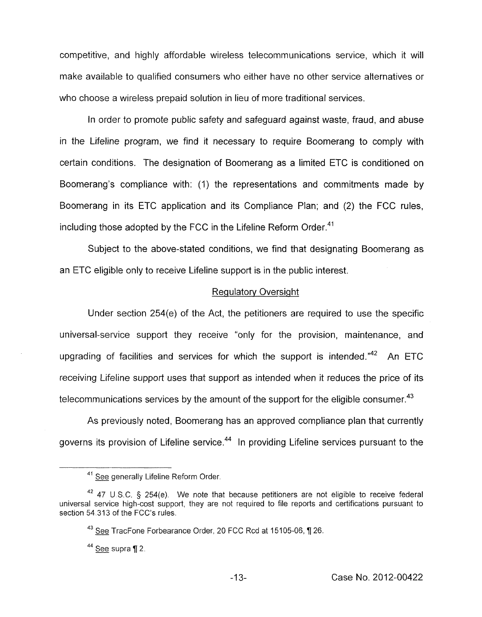competitive, and highly affordable wireless telecommunications service, which it will make available to qualified consumers who either have no other service alternatives or who choose a wireless prepaid solution in lieu of more traditional services.

In order lo promote public safety and safeguard against waste, fraud, and abuse in the Lifeline program, we find it necessary to require Boomerang to comply with certain conditions. The designation of Boomerang as a limited ETC is conditioned on Boomerang's compliance with: (1) the representations and commitments made by Boomerang in its ETC application and its Compliance Plan; and (2) the FCC rules, including those adopted by the FCC in the Lifeline Reform Order. $41$ 

Subject to the above-stated conditions, we find that designating Boomerang as an ETC eligible only to receive Lifeline support is in the public interest.

## Regulatory Oversight

Under section 254(e) of the Act, the petitioners are required to use the specific universal-service support they receive "only for the provision, maintenance, and upgrading of facilities and services for which the support is intended. $142$  An ETC receiving Lifeline support uses that support as intended when it reduces the price of its telecommunications services by the amount of the support for the eligible consumer.<sup>43</sup>

As previously noted, Boomerang has an approved compliance plan that currently governs its provision of Lifeline service.<sup>44</sup> In providing Lifeline services pursuant to the

<sup>&</sup>lt;sup>41</sup> See generally Lifeline Reform Order.

<sup>&</sup>lt;sup>42</sup> 47 U.S.C. § 254(e). We note that because petitioners are not eligible to receive federal universal service high-cost support, they are not required to file reports and certifications pursuant to section 54.313 of the FCC's rules. 47 D.S.<br>Service h<br>313 of the<br><u>See</u> Trac

<sup>&</sup>lt;sup>43</sup> See TracFone Forbearance Order, 20 FCC Rcd at 15105-06, ¶ 26.

*See* supra 12 **44**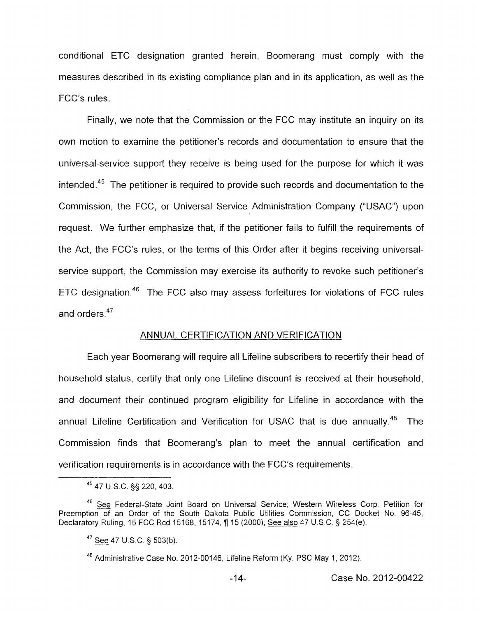conditional ETC designation granted herein, Boomerang must comply with the measures described in its existing compliance plan and in its application, as well as the FCC's rules.

Finally, we note that the Commission or the FCC may institute an inquiry on its own motion to examine the petitioner's records and documentation to ensure that the universal-service support they receive is being used for the purpose for which it was intended.<sup>45</sup> The petitioner is required to provide such records and documentation to the Commission, the FCC, or Universal Service Administration Company ("USAC") upon request. We further emphasize that, if the petitioner fails to fulfill the requirements of the Act, the FCC's rules, or the terms of this Order after it begins receiving universalservice support, the Commission may exercise its authority to revoke such petitioner's ETC designation.<sup>46</sup> The FCC also may assess forfeitures for violations of FCC rules and orders. $47$ 

#### ANNUAL CERTIFICATION AND VERIFICATION

Each year Boomerang will require all Lifeline subscribers to recertify their head of household status, certify that only one Lifeline discount is received at their household, and document their continued program eligibility for Lifeline in accordance with the annual Lifeline Certification and Verification for USAC that is due annually.<sup>48</sup> The Commission finds that Boomerang's plan to meet the annual certification and verification requirements is in accordance with the FCC's requirements.

**<sup>45</sup>**47 U.S.C. §§ 220,403.

<sup>&</sup>lt;sup>46</sup> See Federal-State Joint Board on Universal Service; Western Wireless Corp. Petition for Preemption of an Order of the South Dakota Public Utilities Commission, CC Docket No. 96-45, Declaratory Ruling, 15 FCC Rcd 15168, 15174, fi 15 (2000); See also 47 U.S.C. *5* 254(e).

**<sup>47</sup>**- See 47 **U.S** C. 5 503(b)

<sup>&</sup>lt;sup>48</sup> Administrative Case No. 2012-00146, Lifeline Reform (Ky. PSC May 1, 2012).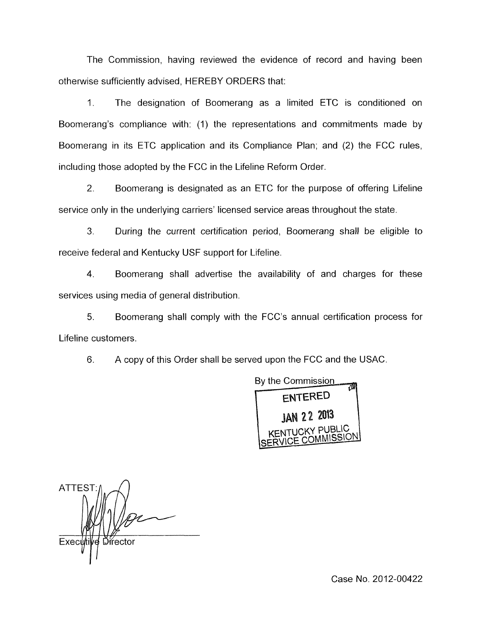The Commission, having reviewed the evidence of record and having been otherwise sufficiently advised, HEREBY ORDERS that:

1. The designation of Boomerang as a limited ETC is conditioned on Boomerang's compliance with: (1) the representations and commitments made by Boomerang in its ETC application and its Compliance Plan; and (2) the FCC rules, including those adopted by the FCC in the Lifeline Reform Order.

2. Boomerang is designated as an ETC for the purpose of offering Lifeline service only in the underlying carriers' licensed service areas throughout the state.

*3.* During the current certification period, Boomerang shall be eligible to receive federal and Kentucky USF support for Lifeline.

4. Boomerang shall advertise the availability of and charges for these services using media of general distribution.

5. Boomerang shall comply with the FCC's annual certification process for Lifeline customers.

6. A copy of this Order shall be served upon the FCC and the USAC.



 $\sim$ **ATTEST** Executi Director

Case No. 2012-00422